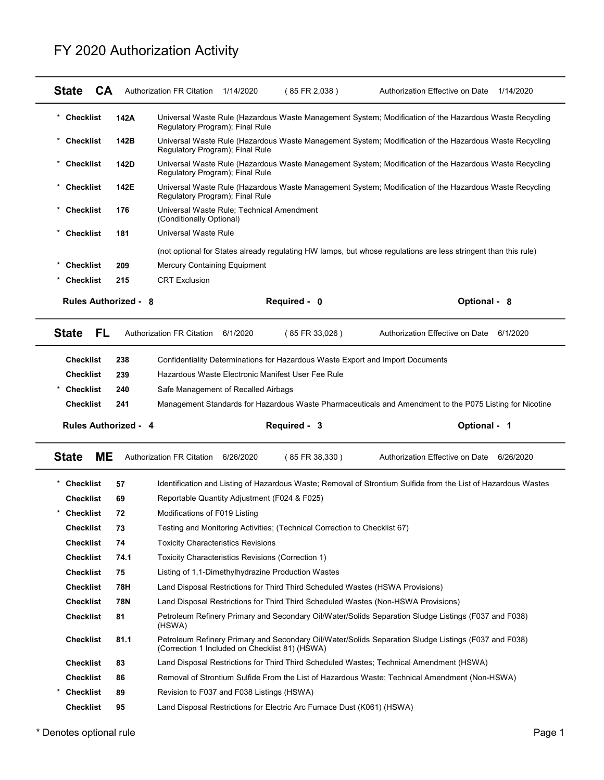## FY 2020 Authorization Activity

|                             |      | FY 2020 Authorization Activity                                                                                                            |                                                                                                                |
|-----------------------------|------|-------------------------------------------------------------------------------------------------------------------------------------------|----------------------------------------------------------------------------------------------------------------|
|                             |      |                                                                                                                                           |                                                                                                                |
|                             |      |                                                                                                                                           |                                                                                                                |
| <b>State</b><br>CA          |      | Authorization FR Citation 1/14/2020<br>(85 FR 2,038)                                                                                      | Authorization Effective on Date 1/14/2020                                                                      |
| $\star$<br><b>Checklist</b> | 142A | Regulatory Program); Final Rule                                                                                                           | Universal Waste Rule (Hazardous Waste Management System; Modification of the Hazardous Waste Recycling         |
| <b>Checklist</b>            | 142B | Regulatory Program); Final Rule                                                                                                           | Universal Waste Rule (Hazardous Waste Management System; Modification of the Hazardous Waste Recycling         |
| <b>Checklist</b>            | 142D |                                                                                                                                           | Universal Waste Rule (Hazardous Waste Management System; Modification of the Hazardous Waste Recycling         |
| <b>Checklist</b>            | 142E | Regulatory Program); Final Rule                                                                                                           | Universal Waste Rule (Hazardous Waste Management System; Modification of the Hazardous Waste Recycling         |
| <b>Checklist</b>            | 176  | Regulatory Program); Final Rule<br>Universal Waste Rule; Technical Amendment                                                              |                                                                                                                |
| <b>Checklist</b>            | 181  | (Conditionally Optional)<br>Universal Waste Rule                                                                                          |                                                                                                                |
|                             |      |                                                                                                                                           | (not optional for States already regulating HW lamps, but whose regulations are less stringent than this rule) |
| <b>Checklist</b>            | 209  | Mercury Containing Equipment                                                                                                              |                                                                                                                |
| Checklist                   | 215  | <b>CRT Exclusion</b>                                                                                                                      |                                                                                                                |
| <b>Rules Authorized - 8</b> |      | Required - 0                                                                                                                              | Optional - 8                                                                                                   |
| <b>State</b><br>FL.         |      | Authorization FR Citation 6/1/2020<br>(85 FR 33,026)                                                                                      | Authorization Effective on Date 6/1/2020                                                                       |
| <b>Checklist</b>            | 238  | Confidentiality Determinations for Hazardous Waste Export and Import Documents                                                            |                                                                                                                |
| <b>Checklist</b>            | 239  | Hazardous Waste Electronic Manifest User Fee Rule                                                                                         |                                                                                                                |
| <b>Checklist</b>            | 240  | Safe Management of Recalled Airbags                                                                                                       |                                                                                                                |
| <b>Checklist</b>            | 241  |                                                                                                                                           | Management Standards for Hazardous Waste Pharmaceuticals and Amendment to the P075 Listing for Nicotine        |
| <b>Rules Authorized - 4</b> |      | Required - 3                                                                                                                              | Optional - 1                                                                                                   |
|                             |      | Authorization FR Citation 6/26/2020<br>(85 FR 38,330)                                                                                     | Authorization Effective on Date 6/26/2020                                                                      |
| ME<br><b>State</b>          |      |                                                                                                                                           |                                                                                                                |
| <b>Checklist</b>            | 57   |                                                                                                                                           | Identification and Listing of Hazardous Waste; Removal of Strontium Sulfide from the List of Hazardous Wastes  |
| <b>Checklist</b>            | 69   | Reportable Quantity Adjustment (F024 & F025)                                                                                              |                                                                                                                |
| <b>Checklist</b>            | 72   | Modifications of F019 Listing                                                                                                             |                                                                                                                |
| <b>Checklist</b>            | 73   | Testing and Monitoring Activities; (Technical Correction to Checklist 67)                                                                 |                                                                                                                |
| <b>Checklist</b>            | 74   | <b>Toxicity Characteristics Revisions</b>                                                                                                 |                                                                                                                |
| <b>Checklist</b>            | 74.1 | Toxicity Characteristics Revisions (Correction 1)                                                                                         |                                                                                                                |
| <b>Checklist</b>            | 75   | Listing of 1,1-Dimethylhydrazine Production Wastes                                                                                        |                                                                                                                |
| <b>Checklist</b>            | 78H  | Land Disposal Restrictions for Third Third Scheduled Wastes (HSWA Provisions)                                                             |                                                                                                                |
| <b>Checklist</b>            | 78N  | Land Disposal Restrictions for Third Third Scheduled Wastes (Non-HSWA Provisions)                                                         |                                                                                                                |
| <b>Checklist</b>            | 81   | (HSWA)                                                                                                                                    | Petroleum Refinery Primary and Secondary Oil/Water/Solids Separation Sludge Listings (F037 and F038)           |
| <b>Checklist</b>            | 81.1 |                                                                                                                                           | Petroleum Refinery Primary and Secondary Oil/Water/Solids Separation Sludge Listings (F037 and F038)           |
| <b>Checklist</b>            | 83   | (Correction 1 Included on Checklist 81) (HSWA)<br>Land Disposal Restrictions for Third Third Scheduled Wastes; Technical Amendment (HSWA) |                                                                                                                |
| <b>Checklist</b>            | 86   | Removal of Strontium Sulfide From the List of Hazardous Waste; Technical Amendment (Non-HSWA)                                             |                                                                                                                |
| <b>Checklist</b>            | 89   | Revision to F037 and F038 Listings (HSWA)                                                                                                 |                                                                                                                |

\* Denotes optional rule Page 1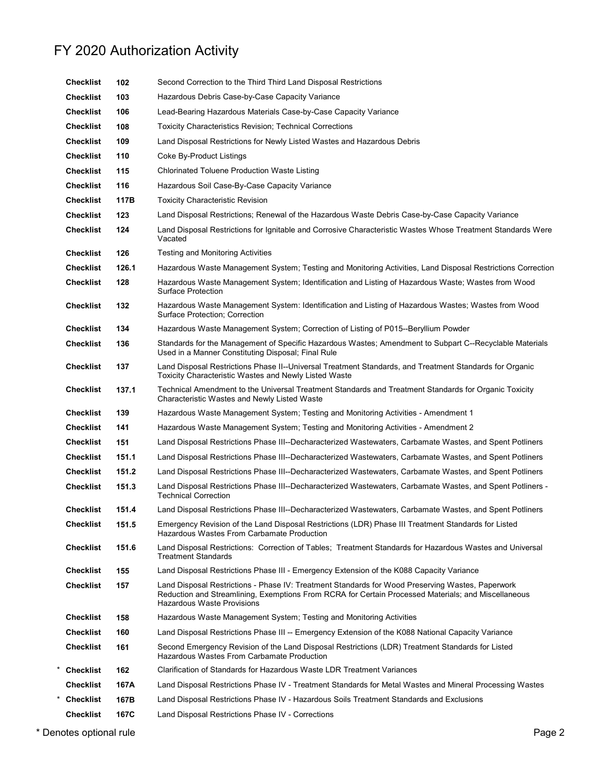## FY 2020 Authorization Activity

| <b>Checklist</b><br>Land Disposal Restrictions for Newly Listed Wastes and Hazardous Debris<br>109<br><b>Checklist</b><br>Coke By-Product Listings<br>110<br>115<br><b>Checklist</b><br><b>Chlorinated Toluene Production Waste Listing</b><br>116<br><b>Checklist</b><br>Hazardous Soil Case-By-Case Capacity Variance<br>117B<br><b>Checklist</b><br><b>Toxicity Characteristic Revision</b><br>123<br><b>Checklist</b><br>Land Disposal Restrictions; Renewal of the Hazardous Waste Debris Case-by-Case Capacity Variance<br>124<br><b>Checklist</b><br>Land Disposal Restrictions for Ignitable and Corrosive Characteristic Wastes Whose Treatment Standards Were<br>Vacated<br>126<br><b>Testing and Monitoring Activities</b><br><b>Checklist</b><br>Checklist<br>126.1<br>Hazardous Waste Management System; Testing and Monitoring Activities, Land Disposal Restrictions Correction<br>Hazardous Waste Management System; Identification and Listing of Hazardous Waste; Wastes from Wood<br>Checklist<br>128<br><b>Surface Protection</b><br><b>Checklist</b><br>132<br>Hazardous Waste Management System: Identification and Listing of Hazardous Wastes; Wastes from Wood<br><b>Surface Protection: Correction</b><br><b>Checklist</b><br>134<br>Hazardous Waste Management System; Correction of Listing of P015--Beryllium Powder<br>Standards for the Management of Specific Hazardous Wastes; Amendment to Subpart C--Recyclable Materials<br><b>Checklist</b><br>136<br>Used in a Manner Constituting Disposal; Final Rule<br><b>Checklist</b><br>137<br>Land Disposal Restrictions Phase II--Universal Treatment Standards, and Treatment Standards for Organic<br>Toxicity Characteristic Wastes and Newly Listed Waste<br>Technical Amendment to the Universal Treatment Standards and Treatment Standards for Organic Toxicity<br><b>Checklist</b><br>137.1<br>Characteristic Wastes and Newly Listed Waste<br><b>Checklist</b><br>Hazardous Waste Management System; Testing and Monitoring Activities - Amendment 1<br>139<br><b>Checklist</b><br>141<br>Hazardous Waste Management System; Testing and Monitoring Activities - Amendment 2<br><b>Checklist</b><br>151<br>Land Disposal Restrictions Phase III--Decharacterized Wastewaters, Carbamate Wastes, and Spent Potliners<br><b>Checklist</b><br>151.1<br>Land Disposal Restrictions Phase III--Decharacterized Wastewaters, Carbamate Wastes, and Spent Potliners<br><b>Checklist</b><br>151.2<br>Land Disposal Restrictions Phase III--Decharacterized Wastewaters, Carbamate Wastes, and Spent Potliners<br><b>Checklist</b><br>151.3<br>Land Disposal Restrictions Phase III--Decharacterized Wastewaters, Carbamate Wastes, and Spent Potliners -<br><b>Technical Correction</b><br>Land Disposal Restrictions Phase III--Decharacterized Wastewaters, Carbamate Wastes, and Spent Potliners<br><b>Checklist</b><br>151.4<br><b>Checklist</b><br>151.5<br>Emergency Revision of the Land Disposal Restrictions (LDR) Phase III Treatment Standards for Listed<br>Hazardous Wastes From Carbamate Production<br><b>Checklist</b><br>Land Disposal Restrictions: Correction of Tables; Treatment Standards for Hazardous Wastes and Universal<br>151.6<br><b>Treatment Standards</b><br><b>Checklist</b><br>155<br>Land Disposal Restrictions Phase III - Emergency Extension of the K088 Capacity Variance<br>Land Disposal Restrictions - Phase IV: Treatment Standards for Wood Preserving Wastes, Paperwork<br><b>Checklist</b><br>157<br>Reduction and Streamlining, Exemptions From RCRA for Certain Processed Materials; and Miscellaneous<br>Hazardous Waste Provisions<br><b>Checklist</b><br>158<br>Hazardous Waste Management System; Testing and Monitoring Activities<br><b>Checklist</b><br>160<br>Land Disposal Restrictions Phase III -- Emergency Extension of the K088 National Capacity Variance<br>Second Emergency Revision of the Land Disposal Restrictions (LDR) Treatment Standards for Listed<br><b>Checklist</b><br>161<br>Hazardous Wastes From Carbamate Production<br>162<br>Clarification of Standards for Hazardous Waste LDR Treatment Variances<br><b>Checklist</b><br><b>Checklist</b><br>167A<br>Land Disposal Restrictions Phase IV - Treatment Standards for Metal Wastes and Mineral Processing Wastes<br><b>Checklist</b><br>167B<br>Land Disposal Restrictions Phase IV - Hazardous Soils Treatment Standards and Exclusions<br><b>Checklist</b><br>167C<br>Land Disposal Restrictions Phase IV - Corrections<br>Page 2<br>alın lenoitan zator | <b>Checklist</b><br><b>Checklist</b> | 106<br>108 | Lead-Bearing Hazardous Materials Case-by-Case Capacity Variance<br><b>Toxicity Characteristics Revision; Technical Corrections</b> |
|------------------------------------------------------------------------------------------------------------------------------------------------------------------------------------------------------------------------------------------------------------------------------------------------------------------------------------------------------------------------------------------------------------------------------------------------------------------------------------------------------------------------------------------------------------------------------------------------------------------------------------------------------------------------------------------------------------------------------------------------------------------------------------------------------------------------------------------------------------------------------------------------------------------------------------------------------------------------------------------------------------------------------------------------------------------------------------------------------------------------------------------------------------------------------------------------------------------------------------------------------------------------------------------------------------------------------------------------------------------------------------------------------------------------------------------------------------------------------------------------------------------------------------------------------------------------------------------------------------------------------------------------------------------------------------------------------------------------------------------------------------------------------------------------------------------------------------------------------------------------------------------------------------------------------------------------------------------------------------------------------------------------------------------------------------------------------------------------------------------------------------------------------------------------------------------------------------------------------------------------------------------------------------------------------------------------------------------------------------------------------------------------------------------------------------------------------------------------------------------------------------------------------------------------------------------------------------------------------------------------------------------------------------------------------------------------------------------------------------------------------------------------------------------------------------------------------------------------------------------------------------------------------------------------------------------------------------------------------------------------------------------------------------------------------------------------------------------------------------------------------------------------------------------------------------------------------------------------------------------------------------------------------------------------------------------------------------------------------------------------------------------------------------------------------------------------------------------------------------------------------------------------------------------------------------------------------------------------------------------------------------------------------------------------------------------------------------------------------------------------------------------------------------------------------------------------------------------------------------------------------------------------------------------------------------------------------------------------------------------------------------------------------------------------------------------------------------------------------------------------------------------------------------------------------------------------------------------------------------------------------------------------------------------------------------------------------------------------------------------------------------------------------------------------------------------------------------------------------------------------------------------------------------------------------------------------------|--------------------------------------|------------|------------------------------------------------------------------------------------------------------------------------------------|
|                                                                                                                                                                                                                                                                                                                                                                                                                                                                                                                                                                                                                                                                                                                                                                                                                                                                                                                                                                                                                                                                                                                                                                                                                                                                                                                                                                                                                                                                                                                                                                                                                                                                                                                                                                                                                                                                                                                                                                                                                                                                                                                                                                                                                                                                                                                                                                                                                                                                                                                                                                                                                                                                                                                                                                                                                                                                                                                                                                                                                                                                                                                                                                                                                                                                                                                                                                                                                                                                                                                                                                                                                                                                                                                                                                                                                                                                                                                                                                                                                                                                                                                                                                                                                                                                                                                                                                                                                                                                                                                                                                              |                                      |            |                                                                                                                                    |
|                                                                                                                                                                                                                                                                                                                                                                                                                                                                                                                                                                                                                                                                                                                                                                                                                                                                                                                                                                                                                                                                                                                                                                                                                                                                                                                                                                                                                                                                                                                                                                                                                                                                                                                                                                                                                                                                                                                                                                                                                                                                                                                                                                                                                                                                                                                                                                                                                                                                                                                                                                                                                                                                                                                                                                                                                                                                                                                                                                                                                                                                                                                                                                                                                                                                                                                                                                                                                                                                                                                                                                                                                                                                                                                                                                                                                                                                                                                                                                                                                                                                                                                                                                                                                                                                                                                                                                                                                                                                                                                                                                              |                                      |            |                                                                                                                                    |
|                                                                                                                                                                                                                                                                                                                                                                                                                                                                                                                                                                                                                                                                                                                                                                                                                                                                                                                                                                                                                                                                                                                                                                                                                                                                                                                                                                                                                                                                                                                                                                                                                                                                                                                                                                                                                                                                                                                                                                                                                                                                                                                                                                                                                                                                                                                                                                                                                                                                                                                                                                                                                                                                                                                                                                                                                                                                                                                                                                                                                                                                                                                                                                                                                                                                                                                                                                                                                                                                                                                                                                                                                                                                                                                                                                                                                                                                                                                                                                                                                                                                                                                                                                                                                                                                                                                                                                                                                                                                                                                                                                              |                                      |            |                                                                                                                                    |
|                                                                                                                                                                                                                                                                                                                                                                                                                                                                                                                                                                                                                                                                                                                                                                                                                                                                                                                                                                                                                                                                                                                                                                                                                                                                                                                                                                                                                                                                                                                                                                                                                                                                                                                                                                                                                                                                                                                                                                                                                                                                                                                                                                                                                                                                                                                                                                                                                                                                                                                                                                                                                                                                                                                                                                                                                                                                                                                                                                                                                                                                                                                                                                                                                                                                                                                                                                                                                                                                                                                                                                                                                                                                                                                                                                                                                                                                                                                                                                                                                                                                                                                                                                                                                                                                                                                                                                                                                                                                                                                                                                              |                                      |            |                                                                                                                                    |
|                                                                                                                                                                                                                                                                                                                                                                                                                                                                                                                                                                                                                                                                                                                                                                                                                                                                                                                                                                                                                                                                                                                                                                                                                                                                                                                                                                                                                                                                                                                                                                                                                                                                                                                                                                                                                                                                                                                                                                                                                                                                                                                                                                                                                                                                                                                                                                                                                                                                                                                                                                                                                                                                                                                                                                                                                                                                                                                                                                                                                                                                                                                                                                                                                                                                                                                                                                                                                                                                                                                                                                                                                                                                                                                                                                                                                                                                                                                                                                                                                                                                                                                                                                                                                                                                                                                                                                                                                                                                                                                                                                              |                                      |            |                                                                                                                                    |
|                                                                                                                                                                                                                                                                                                                                                                                                                                                                                                                                                                                                                                                                                                                                                                                                                                                                                                                                                                                                                                                                                                                                                                                                                                                                                                                                                                                                                                                                                                                                                                                                                                                                                                                                                                                                                                                                                                                                                                                                                                                                                                                                                                                                                                                                                                                                                                                                                                                                                                                                                                                                                                                                                                                                                                                                                                                                                                                                                                                                                                                                                                                                                                                                                                                                                                                                                                                                                                                                                                                                                                                                                                                                                                                                                                                                                                                                                                                                                                                                                                                                                                                                                                                                                                                                                                                                                                                                                                                                                                                                                                              |                                      |            |                                                                                                                                    |
|                                                                                                                                                                                                                                                                                                                                                                                                                                                                                                                                                                                                                                                                                                                                                                                                                                                                                                                                                                                                                                                                                                                                                                                                                                                                                                                                                                                                                                                                                                                                                                                                                                                                                                                                                                                                                                                                                                                                                                                                                                                                                                                                                                                                                                                                                                                                                                                                                                                                                                                                                                                                                                                                                                                                                                                                                                                                                                                                                                                                                                                                                                                                                                                                                                                                                                                                                                                                                                                                                                                                                                                                                                                                                                                                                                                                                                                                                                                                                                                                                                                                                                                                                                                                                                                                                                                                                                                                                                                                                                                                                                              |                                      |            |                                                                                                                                    |
|                                                                                                                                                                                                                                                                                                                                                                                                                                                                                                                                                                                                                                                                                                                                                                                                                                                                                                                                                                                                                                                                                                                                                                                                                                                                                                                                                                                                                                                                                                                                                                                                                                                                                                                                                                                                                                                                                                                                                                                                                                                                                                                                                                                                                                                                                                                                                                                                                                                                                                                                                                                                                                                                                                                                                                                                                                                                                                                                                                                                                                                                                                                                                                                                                                                                                                                                                                                                                                                                                                                                                                                                                                                                                                                                                                                                                                                                                                                                                                                                                                                                                                                                                                                                                                                                                                                                                                                                                                                                                                                                                                              |                                      |            |                                                                                                                                    |
|                                                                                                                                                                                                                                                                                                                                                                                                                                                                                                                                                                                                                                                                                                                                                                                                                                                                                                                                                                                                                                                                                                                                                                                                                                                                                                                                                                                                                                                                                                                                                                                                                                                                                                                                                                                                                                                                                                                                                                                                                                                                                                                                                                                                                                                                                                                                                                                                                                                                                                                                                                                                                                                                                                                                                                                                                                                                                                                                                                                                                                                                                                                                                                                                                                                                                                                                                                                                                                                                                                                                                                                                                                                                                                                                                                                                                                                                                                                                                                                                                                                                                                                                                                                                                                                                                                                                                                                                                                                                                                                                                                              |                                      |            |                                                                                                                                    |
|                                                                                                                                                                                                                                                                                                                                                                                                                                                                                                                                                                                                                                                                                                                                                                                                                                                                                                                                                                                                                                                                                                                                                                                                                                                                                                                                                                                                                                                                                                                                                                                                                                                                                                                                                                                                                                                                                                                                                                                                                                                                                                                                                                                                                                                                                                                                                                                                                                                                                                                                                                                                                                                                                                                                                                                                                                                                                                                                                                                                                                                                                                                                                                                                                                                                                                                                                                                                                                                                                                                                                                                                                                                                                                                                                                                                                                                                                                                                                                                                                                                                                                                                                                                                                                                                                                                                                                                                                                                                                                                                                                              |                                      |            |                                                                                                                                    |
|                                                                                                                                                                                                                                                                                                                                                                                                                                                                                                                                                                                                                                                                                                                                                                                                                                                                                                                                                                                                                                                                                                                                                                                                                                                                                                                                                                                                                                                                                                                                                                                                                                                                                                                                                                                                                                                                                                                                                                                                                                                                                                                                                                                                                                                                                                                                                                                                                                                                                                                                                                                                                                                                                                                                                                                                                                                                                                                                                                                                                                                                                                                                                                                                                                                                                                                                                                                                                                                                                                                                                                                                                                                                                                                                                                                                                                                                                                                                                                                                                                                                                                                                                                                                                                                                                                                                                                                                                                                                                                                                                                              |                                      |            |                                                                                                                                    |
|                                                                                                                                                                                                                                                                                                                                                                                                                                                                                                                                                                                                                                                                                                                                                                                                                                                                                                                                                                                                                                                                                                                                                                                                                                                                                                                                                                                                                                                                                                                                                                                                                                                                                                                                                                                                                                                                                                                                                                                                                                                                                                                                                                                                                                                                                                                                                                                                                                                                                                                                                                                                                                                                                                                                                                                                                                                                                                                                                                                                                                                                                                                                                                                                                                                                                                                                                                                                                                                                                                                                                                                                                                                                                                                                                                                                                                                                                                                                                                                                                                                                                                                                                                                                                                                                                                                                                                                                                                                                                                                                                                              |                                      |            |                                                                                                                                    |
|                                                                                                                                                                                                                                                                                                                                                                                                                                                                                                                                                                                                                                                                                                                                                                                                                                                                                                                                                                                                                                                                                                                                                                                                                                                                                                                                                                                                                                                                                                                                                                                                                                                                                                                                                                                                                                                                                                                                                                                                                                                                                                                                                                                                                                                                                                                                                                                                                                                                                                                                                                                                                                                                                                                                                                                                                                                                                                                                                                                                                                                                                                                                                                                                                                                                                                                                                                                                                                                                                                                                                                                                                                                                                                                                                                                                                                                                                                                                                                                                                                                                                                                                                                                                                                                                                                                                                                                                                                                                                                                                                                              |                                      |            |                                                                                                                                    |
|                                                                                                                                                                                                                                                                                                                                                                                                                                                                                                                                                                                                                                                                                                                                                                                                                                                                                                                                                                                                                                                                                                                                                                                                                                                                                                                                                                                                                                                                                                                                                                                                                                                                                                                                                                                                                                                                                                                                                                                                                                                                                                                                                                                                                                                                                                                                                                                                                                                                                                                                                                                                                                                                                                                                                                                                                                                                                                                                                                                                                                                                                                                                                                                                                                                                                                                                                                                                                                                                                                                                                                                                                                                                                                                                                                                                                                                                                                                                                                                                                                                                                                                                                                                                                                                                                                                                                                                                                                                                                                                                                                              |                                      |            |                                                                                                                                    |
|                                                                                                                                                                                                                                                                                                                                                                                                                                                                                                                                                                                                                                                                                                                                                                                                                                                                                                                                                                                                                                                                                                                                                                                                                                                                                                                                                                                                                                                                                                                                                                                                                                                                                                                                                                                                                                                                                                                                                                                                                                                                                                                                                                                                                                                                                                                                                                                                                                                                                                                                                                                                                                                                                                                                                                                                                                                                                                                                                                                                                                                                                                                                                                                                                                                                                                                                                                                                                                                                                                                                                                                                                                                                                                                                                                                                                                                                                                                                                                                                                                                                                                                                                                                                                                                                                                                                                                                                                                                                                                                                                                              |                                      |            |                                                                                                                                    |
|                                                                                                                                                                                                                                                                                                                                                                                                                                                                                                                                                                                                                                                                                                                                                                                                                                                                                                                                                                                                                                                                                                                                                                                                                                                                                                                                                                                                                                                                                                                                                                                                                                                                                                                                                                                                                                                                                                                                                                                                                                                                                                                                                                                                                                                                                                                                                                                                                                                                                                                                                                                                                                                                                                                                                                                                                                                                                                                                                                                                                                                                                                                                                                                                                                                                                                                                                                                                                                                                                                                                                                                                                                                                                                                                                                                                                                                                                                                                                                                                                                                                                                                                                                                                                                                                                                                                                                                                                                                                                                                                                                              |                                      |            |                                                                                                                                    |
|                                                                                                                                                                                                                                                                                                                                                                                                                                                                                                                                                                                                                                                                                                                                                                                                                                                                                                                                                                                                                                                                                                                                                                                                                                                                                                                                                                                                                                                                                                                                                                                                                                                                                                                                                                                                                                                                                                                                                                                                                                                                                                                                                                                                                                                                                                                                                                                                                                                                                                                                                                                                                                                                                                                                                                                                                                                                                                                                                                                                                                                                                                                                                                                                                                                                                                                                                                                                                                                                                                                                                                                                                                                                                                                                                                                                                                                                                                                                                                                                                                                                                                                                                                                                                                                                                                                                                                                                                                                                                                                                                                              |                                      |            |                                                                                                                                    |
|                                                                                                                                                                                                                                                                                                                                                                                                                                                                                                                                                                                                                                                                                                                                                                                                                                                                                                                                                                                                                                                                                                                                                                                                                                                                                                                                                                                                                                                                                                                                                                                                                                                                                                                                                                                                                                                                                                                                                                                                                                                                                                                                                                                                                                                                                                                                                                                                                                                                                                                                                                                                                                                                                                                                                                                                                                                                                                                                                                                                                                                                                                                                                                                                                                                                                                                                                                                                                                                                                                                                                                                                                                                                                                                                                                                                                                                                                                                                                                                                                                                                                                                                                                                                                                                                                                                                                                                                                                                                                                                                                                              |                                      |            |                                                                                                                                    |
|                                                                                                                                                                                                                                                                                                                                                                                                                                                                                                                                                                                                                                                                                                                                                                                                                                                                                                                                                                                                                                                                                                                                                                                                                                                                                                                                                                                                                                                                                                                                                                                                                                                                                                                                                                                                                                                                                                                                                                                                                                                                                                                                                                                                                                                                                                                                                                                                                                                                                                                                                                                                                                                                                                                                                                                                                                                                                                                                                                                                                                                                                                                                                                                                                                                                                                                                                                                                                                                                                                                                                                                                                                                                                                                                                                                                                                                                                                                                                                                                                                                                                                                                                                                                                                                                                                                                                                                                                                                                                                                                                                              |                                      |            |                                                                                                                                    |
|                                                                                                                                                                                                                                                                                                                                                                                                                                                                                                                                                                                                                                                                                                                                                                                                                                                                                                                                                                                                                                                                                                                                                                                                                                                                                                                                                                                                                                                                                                                                                                                                                                                                                                                                                                                                                                                                                                                                                                                                                                                                                                                                                                                                                                                                                                                                                                                                                                                                                                                                                                                                                                                                                                                                                                                                                                                                                                                                                                                                                                                                                                                                                                                                                                                                                                                                                                                                                                                                                                                                                                                                                                                                                                                                                                                                                                                                                                                                                                                                                                                                                                                                                                                                                                                                                                                                                                                                                                                                                                                                                                              |                                      |            |                                                                                                                                    |
|                                                                                                                                                                                                                                                                                                                                                                                                                                                                                                                                                                                                                                                                                                                                                                                                                                                                                                                                                                                                                                                                                                                                                                                                                                                                                                                                                                                                                                                                                                                                                                                                                                                                                                                                                                                                                                                                                                                                                                                                                                                                                                                                                                                                                                                                                                                                                                                                                                                                                                                                                                                                                                                                                                                                                                                                                                                                                                                                                                                                                                                                                                                                                                                                                                                                                                                                                                                                                                                                                                                                                                                                                                                                                                                                                                                                                                                                                                                                                                                                                                                                                                                                                                                                                                                                                                                                                                                                                                                                                                                                                                              |                                      |            |                                                                                                                                    |
|                                                                                                                                                                                                                                                                                                                                                                                                                                                                                                                                                                                                                                                                                                                                                                                                                                                                                                                                                                                                                                                                                                                                                                                                                                                                                                                                                                                                                                                                                                                                                                                                                                                                                                                                                                                                                                                                                                                                                                                                                                                                                                                                                                                                                                                                                                                                                                                                                                                                                                                                                                                                                                                                                                                                                                                                                                                                                                                                                                                                                                                                                                                                                                                                                                                                                                                                                                                                                                                                                                                                                                                                                                                                                                                                                                                                                                                                                                                                                                                                                                                                                                                                                                                                                                                                                                                                                                                                                                                                                                                                                                              |                                      |            |                                                                                                                                    |
|                                                                                                                                                                                                                                                                                                                                                                                                                                                                                                                                                                                                                                                                                                                                                                                                                                                                                                                                                                                                                                                                                                                                                                                                                                                                                                                                                                                                                                                                                                                                                                                                                                                                                                                                                                                                                                                                                                                                                                                                                                                                                                                                                                                                                                                                                                                                                                                                                                                                                                                                                                                                                                                                                                                                                                                                                                                                                                                                                                                                                                                                                                                                                                                                                                                                                                                                                                                                                                                                                                                                                                                                                                                                                                                                                                                                                                                                                                                                                                                                                                                                                                                                                                                                                                                                                                                                                                                                                                                                                                                                                                              |                                      |            |                                                                                                                                    |
|                                                                                                                                                                                                                                                                                                                                                                                                                                                                                                                                                                                                                                                                                                                                                                                                                                                                                                                                                                                                                                                                                                                                                                                                                                                                                                                                                                                                                                                                                                                                                                                                                                                                                                                                                                                                                                                                                                                                                                                                                                                                                                                                                                                                                                                                                                                                                                                                                                                                                                                                                                                                                                                                                                                                                                                                                                                                                                                                                                                                                                                                                                                                                                                                                                                                                                                                                                                                                                                                                                                                                                                                                                                                                                                                                                                                                                                                                                                                                                                                                                                                                                                                                                                                                                                                                                                                                                                                                                                                                                                                                                              |                                      |            |                                                                                                                                    |
|                                                                                                                                                                                                                                                                                                                                                                                                                                                                                                                                                                                                                                                                                                                                                                                                                                                                                                                                                                                                                                                                                                                                                                                                                                                                                                                                                                                                                                                                                                                                                                                                                                                                                                                                                                                                                                                                                                                                                                                                                                                                                                                                                                                                                                                                                                                                                                                                                                                                                                                                                                                                                                                                                                                                                                                                                                                                                                                                                                                                                                                                                                                                                                                                                                                                                                                                                                                                                                                                                                                                                                                                                                                                                                                                                                                                                                                                                                                                                                                                                                                                                                                                                                                                                                                                                                                                                                                                                                                                                                                                                                              |                                      |            |                                                                                                                                    |
|                                                                                                                                                                                                                                                                                                                                                                                                                                                                                                                                                                                                                                                                                                                                                                                                                                                                                                                                                                                                                                                                                                                                                                                                                                                                                                                                                                                                                                                                                                                                                                                                                                                                                                                                                                                                                                                                                                                                                                                                                                                                                                                                                                                                                                                                                                                                                                                                                                                                                                                                                                                                                                                                                                                                                                                                                                                                                                                                                                                                                                                                                                                                                                                                                                                                                                                                                                                                                                                                                                                                                                                                                                                                                                                                                                                                                                                                                                                                                                                                                                                                                                                                                                                                                                                                                                                                                                                                                                                                                                                                                                              |                                      |            |                                                                                                                                    |
|                                                                                                                                                                                                                                                                                                                                                                                                                                                                                                                                                                                                                                                                                                                                                                                                                                                                                                                                                                                                                                                                                                                                                                                                                                                                                                                                                                                                                                                                                                                                                                                                                                                                                                                                                                                                                                                                                                                                                                                                                                                                                                                                                                                                                                                                                                                                                                                                                                                                                                                                                                                                                                                                                                                                                                                                                                                                                                                                                                                                                                                                                                                                                                                                                                                                                                                                                                                                                                                                                                                                                                                                                                                                                                                                                                                                                                                                                                                                                                                                                                                                                                                                                                                                                                                                                                                                                                                                                                                                                                                                                                              |                                      |            |                                                                                                                                    |
|                                                                                                                                                                                                                                                                                                                                                                                                                                                                                                                                                                                                                                                                                                                                                                                                                                                                                                                                                                                                                                                                                                                                                                                                                                                                                                                                                                                                                                                                                                                                                                                                                                                                                                                                                                                                                                                                                                                                                                                                                                                                                                                                                                                                                                                                                                                                                                                                                                                                                                                                                                                                                                                                                                                                                                                                                                                                                                                                                                                                                                                                                                                                                                                                                                                                                                                                                                                                                                                                                                                                                                                                                                                                                                                                                                                                                                                                                                                                                                                                                                                                                                                                                                                                                                                                                                                                                                                                                                                                                                                                                                              |                                      |            |                                                                                                                                    |
|                                                                                                                                                                                                                                                                                                                                                                                                                                                                                                                                                                                                                                                                                                                                                                                                                                                                                                                                                                                                                                                                                                                                                                                                                                                                                                                                                                                                                                                                                                                                                                                                                                                                                                                                                                                                                                                                                                                                                                                                                                                                                                                                                                                                                                                                                                                                                                                                                                                                                                                                                                                                                                                                                                                                                                                                                                                                                                                                                                                                                                                                                                                                                                                                                                                                                                                                                                                                                                                                                                                                                                                                                                                                                                                                                                                                                                                                                                                                                                                                                                                                                                                                                                                                                                                                                                                                                                                                                                                                                                                                                                              |                                      |            |                                                                                                                                    |
|                                                                                                                                                                                                                                                                                                                                                                                                                                                                                                                                                                                                                                                                                                                                                                                                                                                                                                                                                                                                                                                                                                                                                                                                                                                                                                                                                                                                                                                                                                                                                                                                                                                                                                                                                                                                                                                                                                                                                                                                                                                                                                                                                                                                                                                                                                                                                                                                                                                                                                                                                                                                                                                                                                                                                                                                                                                                                                                                                                                                                                                                                                                                                                                                                                                                                                                                                                                                                                                                                                                                                                                                                                                                                                                                                                                                                                                                                                                                                                                                                                                                                                                                                                                                                                                                                                                                                                                                                                                                                                                                                                              |                                      |            |                                                                                                                                    |
|                                                                                                                                                                                                                                                                                                                                                                                                                                                                                                                                                                                                                                                                                                                                                                                                                                                                                                                                                                                                                                                                                                                                                                                                                                                                                                                                                                                                                                                                                                                                                                                                                                                                                                                                                                                                                                                                                                                                                                                                                                                                                                                                                                                                                                                                                                                                                                                                                                                                                                                                                                                                                                                                                                                                                                                                                                                                                                                                                                                                                                                                                                                                                                                                                                                                                                                                                                                                                                                                                                                                                                                                                                                                                                                                                                                                                                                                                                                                                                                                                                                                                                                                                                                                                                                                                                                                                                                                                                                                                                                                                                              |                                      |            |                                                                                                                                    |
|                                                                                                                                                                                                                                                                                                                                                                                                                                                                                                                                                                                                                                                                                                                                                                                                                                                                                                                                                                                                                                                                                                                                                                                                                                                                                                                                                                                                                                                                                                                                                                                                                                                                                                                                                                                                                                                                                                                                                                                                                                                                                                                                                                                                                                                                                                                                                                                                                                                                                                                                                                                                                                                                                                                                                                                                                                                                                                                                                                                                                                                                                                                                                                                                                                                                                                                                                                                                                                                                                                                                                                                                                                                                                                                                                                                                                                                                                                                                                                                                                                                                                                                                                                                                                                                                                                                                                                                                                                                                                                                                                                              |                                      |            |                                                                                                                                    |

\* Denotes optional rule Page 2